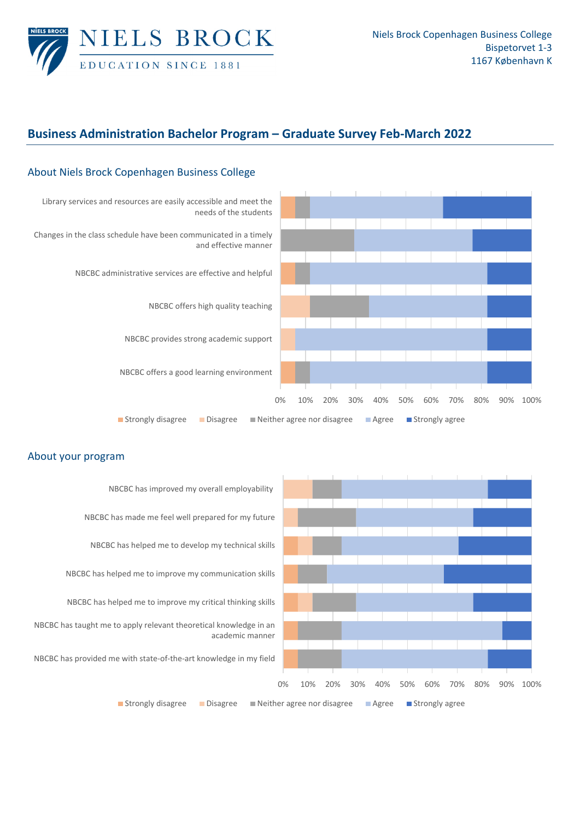

## **Business Administration Bachelor Program – Graduate Survey Feb‐March 2022**



## About Niels Brock Copenhagen Business College

## About your program